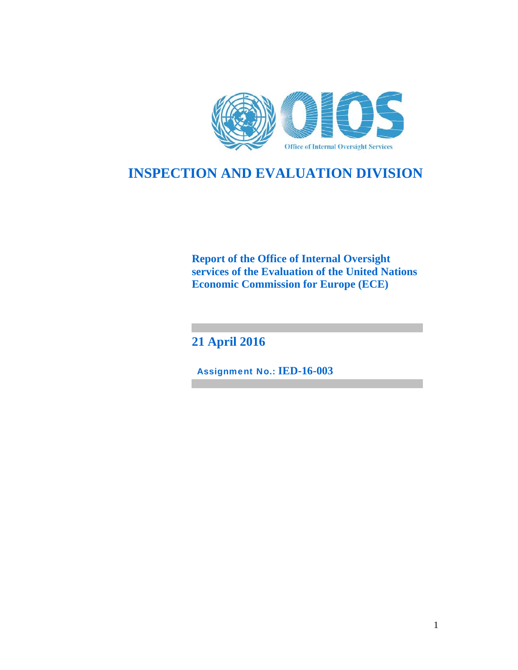

# **INSPECTION AND EVALUATION DIVISION**

**Report of the Office of Internal Oversight services of the Evaluation of the United Nations Economic Commission for Europe (ECE)** 

**21 April 2016**

Assignment No.: **IED-16-003**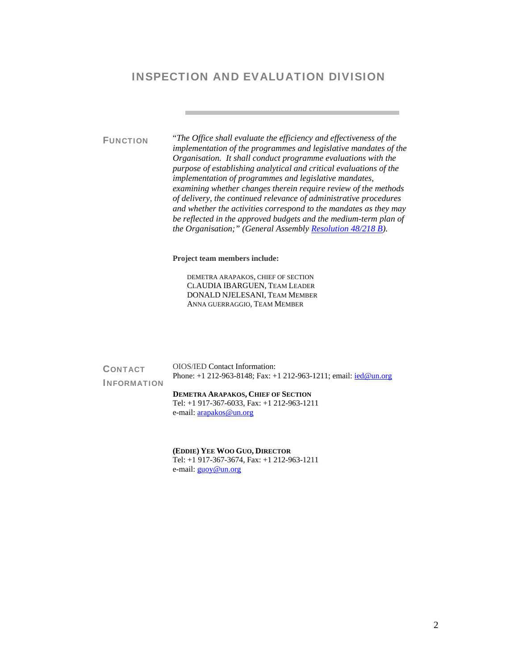# INSPECTION AND EVALUATION DIVISION

FUNCTION "*The Office shall evaluate the efficiency and effectiveness of the implementation of the programmes and legislative mandates of the Organisation. It shall conduct programme evaluations with the purpose of establishing analytical and critical evaluations of the implementation of programmes and legislative mandates, examining whether changes therein require review of the methods of delivery, the continued relevance of administrative procedures and whether the activities correspond to the mandates as they may be reflected in the approved budgets and the medium-term plan of the Organisation;" (General Assembly Resolution 48/218 B).*

**Project team members include:** 

DEMETRA ARAPAKOS, CHIEF OF SECTION CLAUDIA IBARGUEN, TEAM LEADER DONALD NJELESANI, TEAM MEMBER ANNA GUERRAGGIO, TEAM MEMBER

| <b>CONTACT</b>     | <b>OIOS/IED Contact Information:</b><br>Phone: $+1$ 212-963-8148; Fax: $+1$ 212-963-1211; email: $\text{ied@un.org}$ |
|--------------------|----------------------------------------------------------------------------------------------------------------------|
| <b>INFORMATION</b> |                                                                                                                      |
|                    | <b>DEMETRA ARAPAKOS, CHIEF OF SECTION</b>                                                                            |
|                    | Tel: $+1$ 917-367-6033, Fax: $+1$ 212-963-1211                                                                       |
|                    | e-mail: $arapakos@un.org$                                                                                            |
|                    |                                                                                                                      |
|                    |                                                                                                                      |

**(EDDIE) YEE WOO GUO, DIRECTOR**  Tel: +1 917-367-3674, Fax: +1 212-963-1211 e-mail: **guoy@un.org**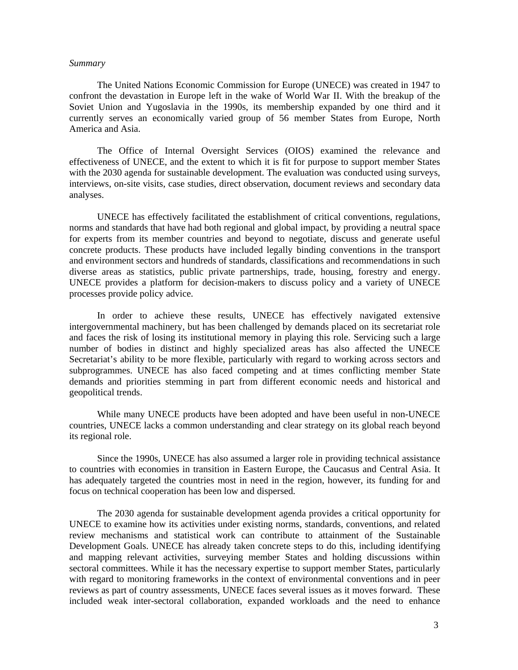#### *Summary*

The United Nations Economic Commission for Europe (UNECE) was created in 1947 to confront the devastation in Europe left in the wake of World War II. With the breakup of the Soviet Union and Yugoslavia in the 1990s, its membership expanded by one third and it currently serves an economically varied group of 56 member States from Europe, North America and Asia.

The Office of Internal Oversight Services (OIOS) examined the relevance and effectiveness of UNECE, and the extent to which it is fit for purpose to support member States with the 2030 agenda for sustainable development. The evaluation was conducted using surveys, interviews, on-site visits, case studies, direct observation, document reviews and secondary data analyses.

UNECE has effectively facilitated the establishment of critical conventions, regulations, norms and standards that have had both regional and global impact, by providing a neutral space for experts from its member countries and beyond to negotiate, discuss and generate useful concrete products. These products have included legally binding conventions in the transport and environment sectors and hundreds of standards, classifications and recommendations in such diverse areas as statistics, public private partnerships, trade, housing, forestry and energy. UNECE provides a platform for decision-makers to discuss policy and a variety of UNECE processes provide policy advice.

In order to achieve these results, UNECE has effectively navigated extensive intergovernmental machinery, but has been challenged by demands placed on its secretariat role and faces the risk of losing its institutional memory in playing this role. Servicing such a large number of bodies in distinct and highly specialized areas has also affected the UNECE Secretariat's ability to be more flexible, particularly with regard to working across sectors and subprogrammes. UNECE has also faced competing and at times conflicting member State demands and priorities stemming in part from different economic needs and historical and geopolitical trends.

While many UNECE products have been adopted and have been useful in non-UNECE countries, UNECE lacks a common understanding and clear strategy on its global reach beyond its regional role.

Since the 1990s, UNECE has also assumed a larger role in providing technical assistance to countries with economies in transition in Eastern Europe, the Caucasus and Central Asia. It has adequately targeted the countries most in need in the region, however, its funding for and focus on technical cooperation has been low and dispersed.

The 2030 agenda for sustainable development agenda provides a critical opportunity for UNECE to examine how its activities under existing norms, standards, conventions, and related review mechanisms and statistical work can contribute to attainment of the Sustainable Development Goals. UNECE has already taken concrete steps to do this, including identifying and mapping relevant activities, surveying member States and holding discussions within sectoral committees. While it has the necessary expertise to support member States, particularly with regard to monitoring frameworks in the context of environmental conventions and in peer reviews as part of country assessments, UNECE faces several issues as it moves forward. These included weak inter-sectoral collaboration, expanded workloads and the need to enhance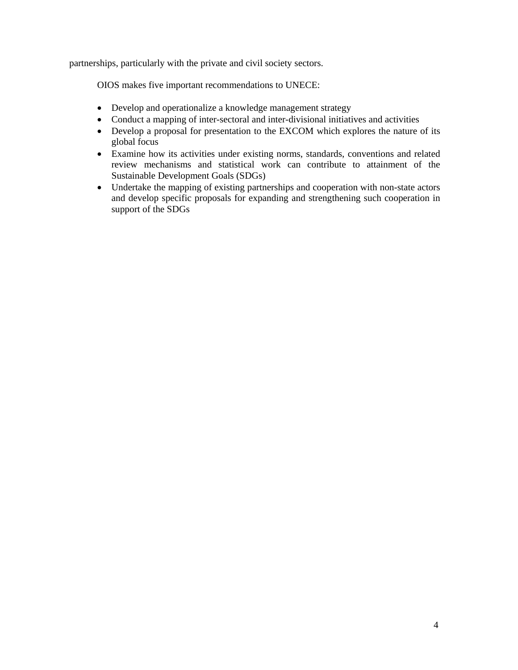partnerships, particularly with the private and civil society sectors.

OIOS makes five important recommendations to UNECE:

- Develop and operationalize a knowledge management strategy
- Conduct a mapping of inter-sectoral and inter-divisional initiatives and activities
- Develop a proposal for presentation to the EXCOM which explores the nature of its global focus
- Examine how its activities under existing norms, standards, conventions and related review mechanisms and statistical work can contribute to attainment of the Sustainable Development Goals (SDGs)
- Undertake the mapping of existing partnerships and cooperation with non-state actors and develop specific proposals for expanding and strengthening such cooperation in support of the SDGs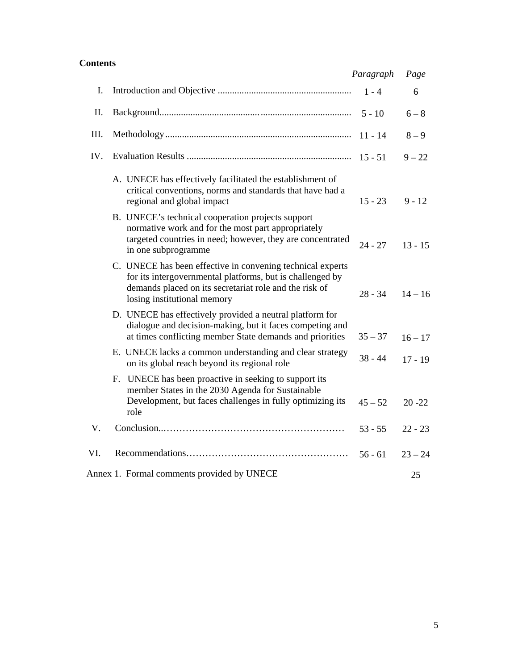## **Contents**

|      |                                                                                                                                                                                                                  | Paragraph | Page      |
|------|------------------------------------------------------------------------------------------------------------------------------------------------------------------------------------------------------------------|-----------|-----------|
| I.   |                                                                                                                                                                                                                  | $1 - 4$   | 6         |
| II.  |                                                                                                                                                                                                                  | $5 - 10$  | $6 - 8$   |
| III. |                                                                                                                                                                                                                  | $11 - 14$ | $8 - 9$   |
| IV.  |                                                                                                                                                                                                                  |           | $9 - 22$  |
|      | A. UNECE has effectively facilitated the establishment of<br>critical conventions, norms and standards that have had a<br>regional and global impact<br>B. UNECE's technical cooperation projects support        | $15 - 23$ | $9 - 12$  |
|      | normative work and for the most part appropriately<br>targeted countries in need; however, they are concentrated<br>in one subprogramme                                                                          | $24 - 27$ | $13 - 15$ |
|      | C. UNECE has been effective in convening technical experts<br>for its intergovernmental platforms, but is challenged by<br>demands placed on its secretariat role and the risk of<br>losing institutional memory | 28 - 34   | $14 - 16$ |
|      | D. UNECE has effectively provided a neutral platform for<br>dialogue and decision-making, but it faces competing and<br>at times conflicting member State demands and priorities                                 | $35 - 37$ | $16 - 17$ |
|      | E. UNECE lacks a common understanding and clear strategy<br>on its global reach beyond its regional role                                                                                                         | $38 - 44$ | $17 - 19$ |
|      | F. UNECE has been proactive in seeking to support its<br>member States in the 2030 Agenda for Sustainable<br>Development, but faces challenges in fully optimizing its<br>role                                   | $45 - 52$ | $20 - 22$ |
| V.   |                                                                                                                                                                                                                  | $53 - 55$ | $22 - 23$ |
| VI.  |                                                                                                                                                                                                                  | $56 - 61$ | $23 - 24$ |
|      | Annex 1. Formal comments provided by UNECE                                                                                                                                                                       |           | 25        |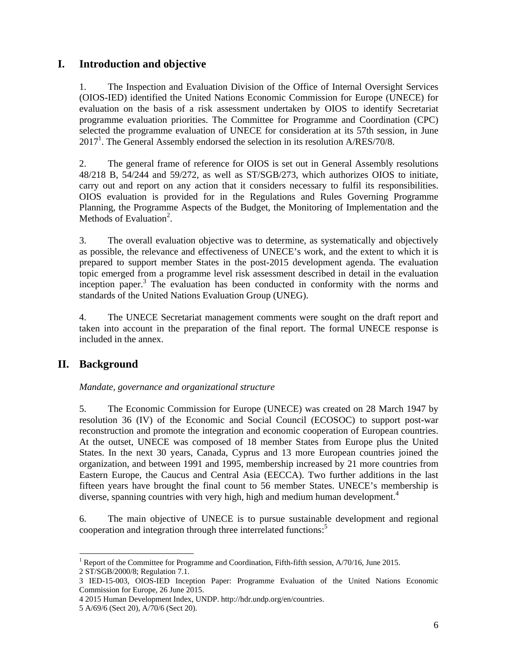## **I. Introduction and objective**

1. The Inspection and Evaluation Division of the Office of Internal Oversight Services (OIOS-IED) identified the United Nations Economic Commission for Europe (UNECE) for evaluation on the basis of a risk assessment undertaken by OIOS to identify Secretariat programme evaluation priorities. The Committee for Programme and Coordination (CPC) selected the programme evaluation of UNECE for consideration at its 57th session, in June  $2017<sup>1</sup>$ . The General Assembly endorsed the selection in its resolution A/RES/70/8.

2. The general frame of reference for OIOS is set out in General Assembly resolutions 48/218 B, 54/244 and 59/272, as well as ST/SGB/273, which authorizes OIOS to initiate, carry out and report on any action that it considers necessary to fulfil its responsibilities. OIOS evaluation is provided for in the Regulations and Rules Governing Programme Planning, the Programme Aspects of the Budget, the Monitoring of Implementation and the Methods of Evaluation<sup>2</sup>.

3. The overall evaluation objective was to determine, as systematically and objectively as possible, the relevance and effectiveness of UNECE's work, and the extent to which it is prepared to support member States in the post-2015 development agenda. The evaluation topic emerged from a programme level risk assessment described in detail in the evaluation inception paper.<sup>3</sup> The evaluation has been conducted in conformity with the norms and standards of the United Nations Evaluation Group (UNEG).

4. The UNECE Secretariat management comments were sought on the draft report and taken into account in the preparation of the final report. The formal UNECE response is included in the annex.

# **II. Background**

## *Mandate, governance and organizational structure*

5. The Economic Commission for Europe (UNECE) was created on 28 March 1947 by resolution 36 (IV) of the Economic and Social Council (ECOSOC) to support post-war reconstruction and promote the integration and economic cooperation of European countries. At the outset, UNECE was composed of 18 member States from Europe plus the United States. In the next 30 years, Canada, Cyprus and 13 more European countries joined the organization, and between 1991 and 1995, membership increased by 21 more countries from Eastern Europe, the Caucus and Central Asia (EECCA). Two further additions in the last fifteen years have brought the final count to 56 member States. UNECE's membership is diverse, spanning countries with very high, high and medium human development.<sup>4</sup>

6. The main objective of UNECE is to pursue sustainable development and regional cooperation and integration through three interrelated functions:<sup>5</sup>

<sup>-</sup><sup>1</sup> Report of the Committee for Programme and Coordination, Fifth-fifth session,  $A/70/16$ , June 2015. 2 ST/SGB/2000/8; Regulation 7.1.

<sup>3</sup> IED-15-003, OIOS-IED Inception Paper: Programme Evaluation of the United Nations Economic Commission for Europe, 26 June 2015.

<sup>4 2015</sup> Human Development Index, UNDP. http://hdr.undp.org/en/countries.

<sup>5</sup> A/69/6 (Sect 20), A/70/6 (Sect 20).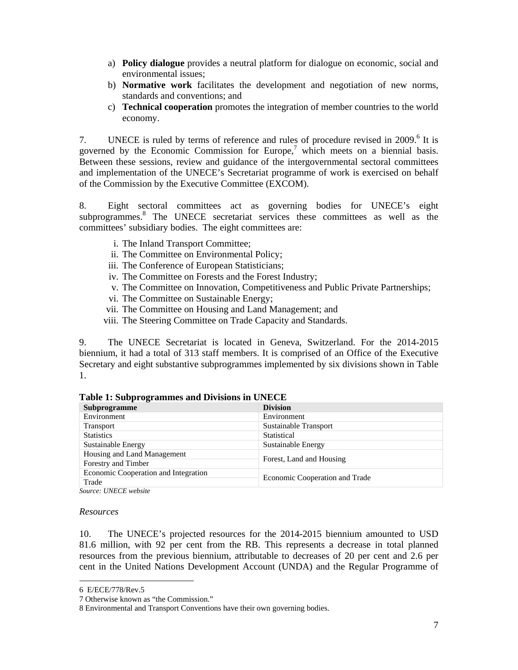- a) **Policy dialogue** provides a neutral platform for dialogue on economic, social and environmental issues;
- b) **Normative work** facilitates the development and negotiation of new norms, standards and conventions; and
- c) **Technical cooperation** promotes the integration of member countries to the world economy.

7. UNECE is ruled by terms of reference and rules of procedure revised in 2009.<sup>6</sup> It is governed by the Economic Commission for Europe,<sup>7</sup> which meets on a biennial basis. Between these sessions, review and guidance of the intergovernmental sectoral committees and implementation of the UNECE's Secretariat programme of work is exercised on behalf of the Commission by the Executive Committee (EXCOM).

8. Eight sectoral committees act as governing bodies for UNECE's eight subprogrammes.<sup>8</sup> The UNECE secretariat services these committees as well as the committees' subsidiary bodies. The eight committees are:

- i. The Inland Transport Committee;
- ii. The Committee on Environmental Policy;
- iii. The Conference of European Statisticians;
- iv. The Committee on Forests and the Forest Industry;
- v. The Committee on Innovation, Competitiveness and Public Private Partnerships;
- vi. The Committee on Sustainable Energy;
- vii. The Committee on Housing and Land Management; and
- viii. The Steering Committee on Trade Capacity and Standards.

9. The UNECE Secretariat is located in Geneva, Switzerland. For the 2014-2015 biennium, it had a total of 313 staff members. It is comprised of an Office of the Executive Secretary and eight substantive subprogrammes implemented by six divisions shown in Table 1.

| Subprogramme                         | <b>Division</b>                |  |
|--------------------------------------|--------------------------------|--|
| Environment                          | Environment                    |  |
| <b>Transport</b>                     | Sustainable Transport          |  |
| <b>Statistics</b>                    | Statistical                    |  |
| Sustainable Energy                   | Sustainable Energy             |  |
| Housing and Land Management          | Forest, Land and Housing       |  |
| Forestry and Timber                  |                                |  |
| Economic Cooperation and Integration | Economic Cooperation and Trade |  |
| Trade                                |                                |  |

**Table 1: Subprogrammes and Divisions in UNECE** 

*Source: UNECE website* 

#### *Resources*

-

10. The UNECE's projected resources for the 2014-2015 biennium amounted to USD 81.6 million, with 92 per cent from the RB. This represents a decrease in total planned resources from the previous biennium, attributable to decreases of 20 per cent and 2.6 per cent in the United Nations Development Account (UNDA) and the Regular Programme of

<sup>6</sup> E/ECE/778/Rev.5

<sup>7</sup> Otherwise known as "the Commission."

<sup>8</sup> Environmental and Transport Conventions have their own governing bodies.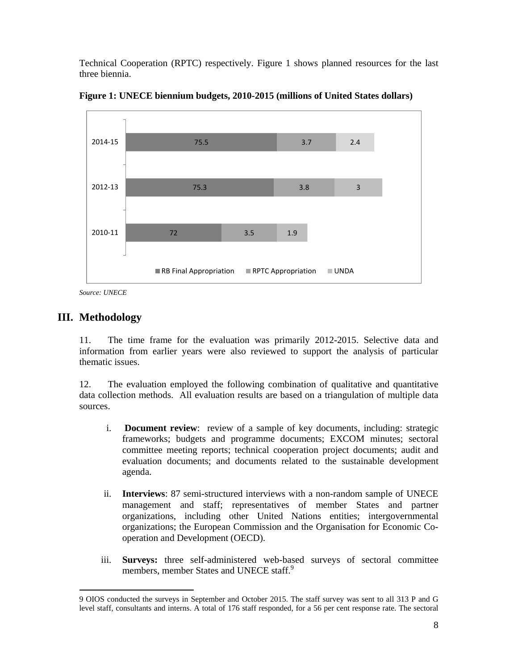Technical Cooperation (RPTC) respectively. Figure 1 shows planned resources for the last three biennia.



**Figure 1: UNECE biennium budgets, 2010-2015 (millions of United States dollars)** 

*Source: UNECE* 

# **III. Methodology**

11. The time frame for the evaluation was primarily 2012-2015. Selective data and information from earlier years were also reviewed to support the analysis of particular thematic issues.

12. The evaluation employed the following combination of qualitative and quantitative data collection methods. All evaluation results are based on a triangulation of multiple data sources.

- i. **Document review**: review of a sample of key documents, including: strategic frameworks; budgets and programme documents; EXCOM minutes; sectoral committee meeting reports; technical cooperation project documents; audit and evaluation documents; and documents related to the sustainable development agenda.
- ii. **Interviews**: 87 semi-structured interviews with a non-random sample of UNECE management and staff; representatives of member States and partner organizations, including other United Nations entities; intergovernmental organizations; the European Commission and the Organisation for Economic Cooperation and Development (OECD).
- iii. **Surveys:** three self-administered web-based surveys of sectoral committee members, member States and UNECE staff.<sup>9</sup>

<sup>-</sup>9 OIOS conducted the surveys in September and October 2015. The staff survey was sent to all 313 P and G level staff, consultants and interns. A total of 176 staff responded, for a 56 per cent response rate. The sectoral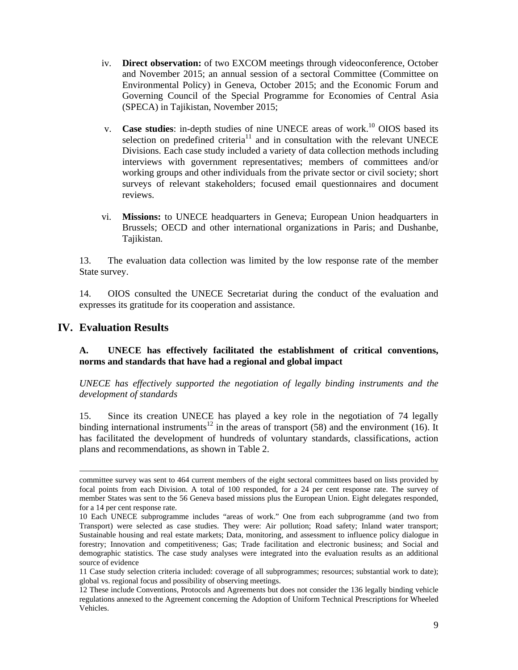- iv. **Direct observation:** of two EXCOM meetings through videoconference, October and November 2015; an annual session of a sectoral Committee (Committee on Environmental Policy) in Geneva, October 2015; and the Economic Forum and Governing Council of the Special Programme for Economies of Central Asia (SPECA) in Tajikistan, November 2015;
- v. **Case studies**: in-depth studies of nine UNECE areas of work.<sup>10</sup> OIOS based its selection on predefined criteria<sup>11</sup> and in consultation with the relevant UNECE Divisions. Each case study included a variety of data collection methods including interviews with government representatives; members of committees and/or working groups and other individuals from the private sector or civil society; short surveys of relevant stakeholders; focused email questionnaires and document reviews.
- vi. **Missions:** to UNECE headquarters in Geneva; European Union headquarters in Brussels; OECD and other international organizations in Paris; and Dushanbe, Tajikistan.

13. The evaluation data collection was limited by the low response rate of the member State survey.

14. OIOS consulted the UNECE Secretariat during the conduct of the evaluation and expresses its gratitude for its cooperation and assistance.

## **IV. Evaluation Results**

#### **A. UNECE has effectively facilitated the establishment of critical conventions, norms and standards that have had a regional and global impact**

*UNECE has effectively supported the negotiation of legally binding instruments and the development of standards* 

15. Since its creation UNECE has played a key role in the negotiation of 74 legally binding international instruments<sup>12</sup> in the areas of transport (58) and the environment (16). It has facilitated the development of hundreds of voluntary standards, classifications, action plans and recommendations, as shown in Table 2.

committee survey was sent to 464 current members of the eight sectoral committees based on lists provided by focal points from each Division. A total of 100 responded, for a 24 per cent response rate. The survey of member States was sent to the 56 Geneva based missions plus the European Union. Eight delegates responded, for a 14 per cent response rate.

<sup>10</sup> Each UNECE subprogramme includes "areas of work." One from each subprogramme (and two from Transport) were selected as case studies. They were: Air pollution; Road safety; Inland water transport; Sustainable housing and real estate markets; Data, monitoring, and assessment to influence policy dialogue in forestry; Innovation and competitiveness; Gas; Trade facilitation and electronic business; and Social and demographic statistics. The case study analyses were integrated into the evaluation results as an additional source of evidence

<sup>11</sup> Case study selection criteria included: coverage of all subprogrammes; resources; substantial work to date); global vs. regional focus and possibility of observing meetings.

<sup>12</sup> These include Conventions, Protocols and Agreements but does not consider the 136 legally binding vehicle regulations annexed to the Agreement concerning the Adoption of Uniform Technical Prescriptions for Wheeled Vehicles.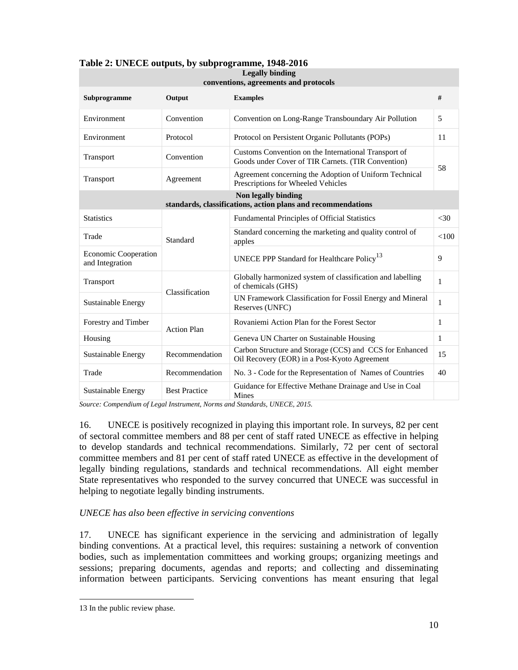| conventions, agreements and protocols          |                      |                                                                                                            |        |  |
|------------------------------------------------|----------------------|------------------------------------------------------------------------------------------------------------|--------|--|
| Subprogramme                                   | Output               | <b>Examples</b>                                                                                            | #      |  |
| Environment                                    | Convention           | Convention on Long-Range Transboundary Air Pollution                                                       | 5      |  |
| Environment                                    | Protocol             | Protocol on Persistent Organic Pollutants (POPs)                                                           | 11     |  |
| Transport                                      | Convention           | Customs Convention on the International Transport of<br>Goods under Cover of TIR Carnets. (TIR Convention) |        |  |
| Transport                                      | Agreement            | Agreement concerning the Adoption of Uniform Technical<br>Prescriptions for Wheeled Vehicles               | 58     |  |
|                                                |                      | Non legally binding<br>standards, classifications, action plans and recommendations                        |        |  |
| <b>Statistics</b>                              |                      | Fundamental Principles of Official Statistics                                                              | $<$ 30 |  |
| Trade                                          | Standard             | Standard concerning the marketing and quality control of<br>apples                                         | <100   |  |
| <b>Economic Cooperation</b><br>and Integration |                      | UNECE PPP Standard for Healthcare Policy <sup>13</sup>                                                     | 9      |  |
| Transport                                      |                      | Globally harmonized system of classification and labelling<br>of chemicals (GHS)                           | 1      |  |
| Sustainable Energy                             | Classification       | UN Framework Classification for Fossil Energy and Mineral<br>Reserves (UNFC)                               | 1      |  |
| Forestry and Timber                            | <b>Action Plan</b>   | Rovaniemi Action Plan for the Forest Sector                                                                | 1      |  |
| Housing                                        |                      | Geneva UN Charter on Sustainable Housing                                                                   | 1      |  |
| <b>Sustainable Energy</b>                      | Recommendation       | Carbon Structure and Storage (CCS) and CCS for Enhanced<br>Oil Recovery (EOR) in a Post-Kyoto Agreement    | 15     |  |
| Trade                                          | Recommendation       | No. 3 - Code for the Representation of Names of Countries                                                  | 40     |  |
| Sustainable Energy                             | <b>Best Practice</b> | Guidance for Effective Methane Drainage and Use in Coal<br>Mines                                           |        |  |

#### **Table 2: UNECE outputs, by subprogramme, 1948-2016 Legally binding**

*Source: Compendium of Legal Instrument, Norms and Standards, UNECE, 2015.* 

16. UNECE is positively recognized in playing this important role. In surveys, 82 per cent of sectoral committee members and 88 per cent of staff rated UNECE as effective in helping to develop standards and technical recommendations. Similarly, 72 per cent of sectoral committee members and 81 per cent of staff rated UNECE as effective in the development of legally binding regulations, standards and technical recommendations. All eight member State representatives who responded to the survey concurred that UNECE was successful in helping to negotiate legally binding instruments.

## *UNECE has also been effective in servicing conventions*

17. UNECE has significant experience in the servicing and administration of legally binding conventions. At a practical level, this requires: sustaining a network of convention bodies, such as implementation committees and working groups; organizing meetings and sessions; preparing documents, agendas and reports; and collecting and disseminating information between participants. Servicing conventions has meant ensuring that legal

<sup>13</sup> In the public review phase.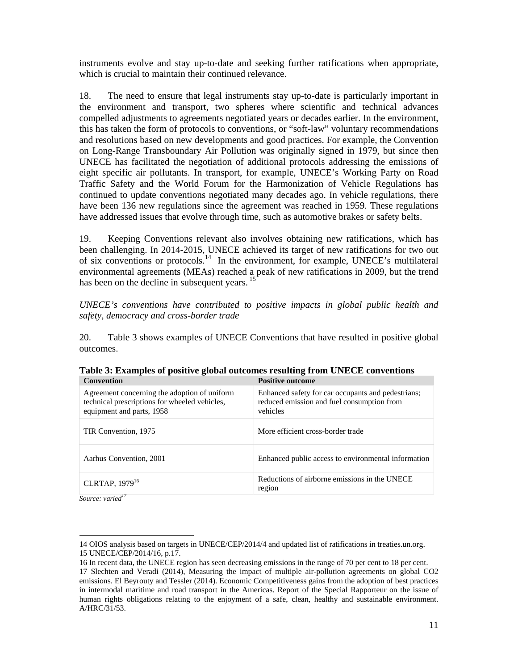instruments evolve and stay up-to-date and seeking further ratifications when appropriate, which is crucial to maintain their continued relevance.

18. The need to ensure that legal instruments stay up-to-date is particularly important in the environment and transport, two spheres where scientific and technical advances compelled adjustments to agreements negotiated years or decades earlier. In the environment, this has taken the form of protocols to conventions, or "soft-law" voluntary recommendations and resolutions based on new developments and good practices. For example, the Convention on Long-Range Transboundary Air Pollution was originally signed in 1979, but since then UNECE has facilitated the negotiation of additional protocols addressing the emissions of eight specific air pollutants. In transport, for example, UNECE's Working Party on Road Traffic Safety and the World Forum for the Harmonization of Vehicle Regulations has continued to update conventions negotiated many decades ago. In vehicle regulations, there have been 136 new regulations since the agreement was reached in 1959. These regulations have addressed issues that evolve through time, such as automotive brakes or safety belts.

19. Keeping Conventions relevant also involves obtaining new ratifications, which has been challenging. In 2014-2015, UNECE achieved its target of new ratifications for two out of six conventions or protocols.<sup>14</sup> In the environment, for example, UNECE's multilateral environmental agreements (MEAs) reached a peak of new ratifications in 2009, but the trend has been on the decline in subsequent years.<sup>15</sup>

*UNECE's conventions have contributed to positive impacts in global public health and safety, democracy and cross-border trade* 

20. Table 3 shows examples of UNECE Conventions that have resulted in positive global outcomes.

| <b>Convention</b>                                                                                                          | <b>Positive outcome</b>                                                                                      |
|----------------------------------------------------------------------------------------------------------------------------|--------------------------------------------------------------------------------------------------------------|
| Agreement concerning the adoption of uniform<br>technical prescriptions for wheeled vehicles,<br>equipment and parts, 1958 | Enhanced safety for car occupants and pedestrians;<br>reduced emission and fuel consumption from<br>vehicles |
| TIR Convention, 1975                                                                                                       | More efficient cross-border trade                                                                            |
| Aarhus Convention, 2001                                                                                                    | Enhanced public access to environmental information                                                          |
| CLRTAP, 1979 <sup>16</sup>                                                                                                 | Reductions of airborne emissions in the UNECE<br>region                                                      |

**Table 3: Examples of positive global outcomes resulting from UNECE conventions** 

*Source: varied<sup>17</sup>*

<sup>14</sup> OIOS analysis based on targets in UNECE/CEP/2014/4 and updated list of ratifications in treaties.un.org. 15 UNECE/CEP/2014/16, p.17.

<sup>16</sup> In recent data, the UNECE region has seen decreasing emissions in the range of 70 per cent to 18 per cent. 17 Slechten and Veradi (2014), Measuring the impact of multiple air-pollution agreements on global CO2 emissions. El Beyrouty and Tessler (2014). Economic Competitiveness gains from the adoption of best practices in intermodal maritime and road transport in the Americas. Report of the Special Rapporteur on the issue of human rights obligations relating to the enjoyment of a safe, clean, healthy and sustainable environment. A/HRC/31/53.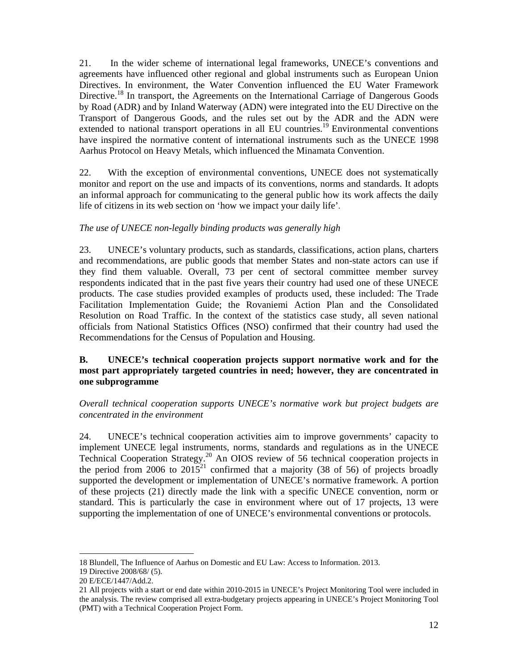21. In the wider scheme of international legal frameworks, UNECE's conventions and agreements have influenced other regional and global instruments such as European Union Directives. In environment, the Water Convention influenced the EU Water Framework Directive.<sup>18</sup> In transport, the Agreements on the International Carriage of Dangerous Goods by Road (ADR) and by Inland Waterway (ADN) were integrated into the EU Directive on the Transport of Dangerous Goods, and the rules set out by the ADR and the ADN were extended to national transport operations in all EU countries.<sup>19</sup> Environmental conventions have inspired the normative content of international instruments such as the UNECE 1998 Aarhus Protocol on Heavy Metals, which influenced the Minamata Convention.

22. With the exception of environmental conventions, UNECE does not systematically monitor and report on the use and impacts of its conventions, norms and standards. It adopts an informal approach for communicating to the general public how its work affects the daily life of citizens in its web section on 'how we impact your daily life'.

## *The use of UNECE non-legally binding products was generally high*

23. UNECE's voluntary products, such as standards, classifications, action plans, charters and recommendations, are public goods that member States and non-state actors can use if they find them valuable. Overall, 73 per cent of sectoral committee member survey respondents indicated that in the past five years their country had used one of these UNECE products. The case studies provided examples of products used, these included: The Trade Facilitation Implementation Guide; the Rovaniemi Action Plan and the Consolidated Resolution on Road Traffic. In the context of the statistics case study, all seven national officials from National Statistics Offices (NSO) confirmed that their country had used the Recommendations for the Census of Population and Housing.

#### **B. UNECE's technical cooperation projects support normative work and for the most part appropriately targeted countries in need; however, they are concentrated in one subprogramme**

*Overall technical cooperation supports UNECE's normative work but project budgets are concentrated in the environment* 

24. UNECE's technical cooperation activities aim to improve governments' capacity to implement UNECE legal instruments, norms, standards and regulations as in the UNECE Technical Cooperation Strategy.<sup>20</sup> An OIOS review of 56 technical cooperation projects in the period from 2006 to  $2015^{21}$  confirmed that a majority (38 of 56) of projects broadly supported the development or implementation of UNECE's normative framework. A portion of these projects (21) directly made the link with a specific UNECE convention, norm or standard. This is particularly the case in environment where out of 17 projects, 13 were supporting the implementation of one of UNECE's environmental conventions or protocols.

<sup>18</sup> Blundell, The Influence of Aarhus on Domestic and EU Law: Access to Information. 2013.

<sup>19</sup> Directive 2008/68/ (5).

<sup>20</sup> E/ECE/1447/Add.2.

<sup>21</sup> All projects with a start or end date within 2010-2015 in UNECE's Project Monitoring Tool were included in the analysis. The review comprised all extra-budgetary projects appearing in UNECE's Project Monitoring Tool (PMT) with a Technical Cooperation Project Form.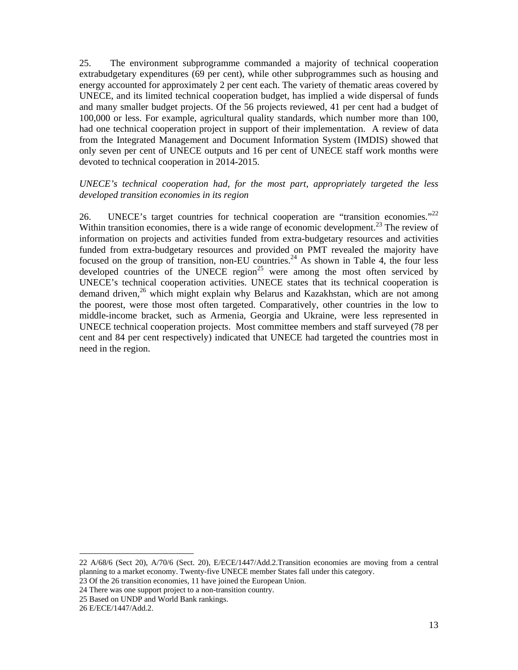25. The environment subprogramme commanded a majority of technical cooperation extrabudgetary expenditures (69 per cent), while other subprogrammes such as housing and energy accounted for approximately 2 per cent each. The variety of thematic areas covered by UNECE, and its limited technical cooperation budget, has implied a wide dispersal of funds and many smaller budget projects. Of the 56 projects reviewed, 41 per cent had a budget of 100,000 or less. For example, agricultural quality standards, which number more than 100, had one technical cooperation project in support of their implementation. A review of data from the Integrated Management and Document Information System (IMDIS) showed that only seven per cent of UNECE outputs and 16 per cent of UNECE staff work months were devoted to technical cooperation in 2014-2015.

#### *UNECE's technical cooperation had, for the most part, appropriately targeted the less developed transition economies in its region*

26. UNECE's target countries for technical cooperation are "transition economies."<sup>22</sup> Within transition economies, there is a wide range of economic development.<sup>23</sup> The review of information on projects and activities funded from extra-budgetary resources and activities funded from extra-budgetary resources and provided on PMT revealed the majority have focused on the group of transition, non-EU countries.<sup>24</sup> As shown in Table 4, the four less developed countries of the UNECE region<sup>25</sup> were among the most often serviced by UNECE's technical cooperation activities. UNECE states that its technical cooperation is demand driven,<sup>26</sup> which might explain why Belarus and Kazakhstan, which are not among the poorest, were those most often targeted. Comparatively, other countries in the low to middle-income bracket, such as Armenia, Georgia and Ukraine, were less represented in UNECE technical cooperation projects. Most committee members and staff surveyed (78 per cent and 84 per cent respectively) indicated that UNECE had targeted the countries most in need in the region.

<sup>22</sup> A/68/6 (Sect 20), A/70/6 (Sect. 20), E/ECE/1447/Add.2.Transition economies are moving from a central planning to a market economy. Twenty-five UNECE member States fall under this category. 23 Of the 26 transition economies, 11 have joined the European Union.

<sup>24</sup> There was one support project to a non-transition country.

<sup>25</sup> Based on UNDP and World Bank rankings.

<sup>26</sup> E/ECE/1447/Add.2.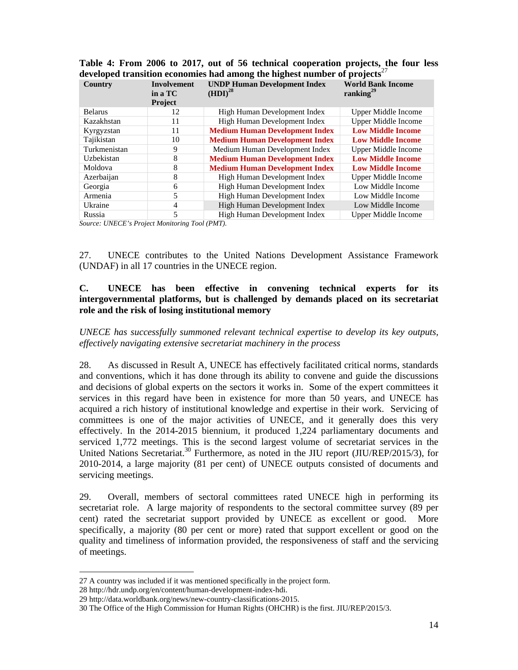|               | Table 4: From 2006 to 2017, out of 56 technical cooperation projects, the four less   |                               |  |  |
|---------------|---------------------------------------------------------------------------------------|-------------------------------|--|--|
|               | developed transition economies had among the highest number of projects <sup>27</sup> |                               |  |  |
| $\sim$ $\sim$ |                                                                                       | ונתו והיום ונים ומתוחדות ונים |  |  |

| Country        | <b>Involvement</b><br>in a TC<br><b>Project</b> | <b>UNDP Human Development Index</b><br>(HDI) <sup>28</sup> | <b>World Bank Income</b><br>ranking $^{29}$ |
|----------------|-------------------------------------------------|------------------------------------------------------------|---------------------------------------------|
|                |                                                 |                                                            |                                             |
| <b>Belarus</b> | 12                                              | High Human Development Index                               | Upper Middle Income                         |
| Kazakhstan     | 11                                              | High Human Development Index                               | <b>Upper Middle Income</b>                  |
| Kyrgyzstan     | 11                                              | <b>Medium Human Development Index</b>                      | <b>Low Middle Income</b>                    |
| Tajikistan     | 10                                              | <b>Medium Human Development Index</b>                      | <b>Low Middle Income</b>                    |
| Turkmenistan   | 9                                               | Medium Human Development Index                             | <b>Upper Middle Income</b>                  |
| Uzbekistan     | 8                                               | <b>Medium Human Development Index</b>                      | <b>Low Middle Income</b>                    |
| Moldova        | 8                                               | <b>Medium Human Development Index</b>                      | <b>Low Middle Income</b>                    |
| Azerbaijan     | 8                                               | High Human Development Index                               | Upper Middle Income                         |
| Georgia        | 6                                               | High Human Development Index                               | Low Middle Income                           |
| Armenia        | 5                                               | High Human Development Index                               | Low Middle Income                           |
| Ukraine        | 4                                               | High Human Development Index                               | Low Middle Income                           |
| Russia         | 5                                               | High Human Development Index                               | <b>Upper Middle Income</b>                  |

*Source: UNECE's Project Monitoring Tool (PMT).* 

27. UNECE contributes to the United Nations Development Assistance Framework (UNDAF) in all 17 countries in the UNECE region.

#### **C. UNECE has been effective in convening technical experts for its intergovernmental platforms, but is challenged by demands placed on its secretariat role and the risk of losing institutional memory**

*UNECE has successfully summoned relevant technical expertise to develop its key outputs, effectively navigating extensive secretariat machinery in the process* 

28. As discussed in Result A, UNECE has effectively facilitated critical norms, standards and conventions, which it has done through its ability to convene and guide the discussions and decisions of global experts on the sectors it works in. Some of the expert committees it services in this regard have been in existence for more than 50 years, and UNECE has acquired a rich history of institutional knowledge and expertise in their work. Servicing of committees is one of the major activities of UNECE, and it generally does this very effectively. In the 2014-2015 biennium, it produced 1,224 parliamentary documents and serviced 1,772 meetings. This is the second largest volume of secretariat services in the United Nations Secretariat.<sup>30</sup> Furthermore, as noted in the JIU report (JIU/REP/2015/3), for 2010-2014, a large majority (81 per cent) of UNECE outputs consisted of documents and servicing meetings.

29. Overall, members of sectoral committees rated UNECE high in performing its secretariat role. A large majority of respondents to the sectoral committee survey (89 per cent) rated the secretariat support provided by UNECE as excellent or good. More specifically, a majority (80 per cent or more) rated that support excellent or good on the quality and timeliness of information provided, the responsiveness of staff and the servicing of meetings.

<sup>27</sup> A country was included if it was mentioned specifically in the project form.

<sup>28</sup> http://hdr.undp.org/en/content/human-development-index-hdi.

<sup>29</sup> http://data.worldbank.org/news/new-country-classifications-2015.

<sup>30</sup> The Office of the High Commission for Human Rights (OHCHR) is the first. JIU/REP/2015/3.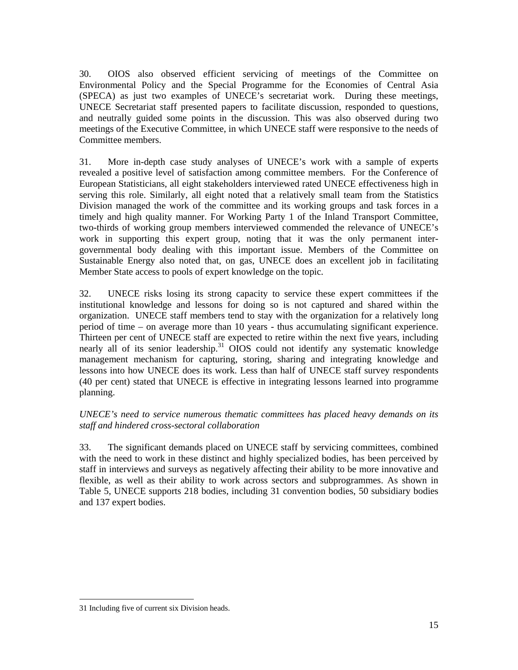30. OIOS also observed efficient servicing of meetings of the Committee on Environmental Policy and the Special Programme for the Economies of Central Asia (SPECA) as just two examples of UNECE's secretariat work. During these meetings, UNECE Secretariat staff presented papers to facilitate discussion, responded to questions, and neutrally guided some points in the discussion. This was also observed during two meetings of the Executive Committee, in which UNECE staff were responsive to the needs of Committee members.

31. More in-depth case study analyses of UNECE's work with a sample of experts revealed a positive level of satisfaction among committee members. For the Conference of European Statisticians, all eight stakeholders interviewed rated UNECE effectiveness high in serving this role. Similarly, all eight noted that a relatively small team from the Statistics Division managed the work of the committee and its working groups and task forces in a timely and high quality manner. For Working Party 1 of the Inland Transport Committee, two-thirds of working group members interviewed commended the relevance of UNECE's work in supporting this expert group, noting that it was the only permanent intergovernmental body dealing with this important issue. Members of the Committee on Sustainable Energy also noted that, on gas, UNECE does an excellent job in facilitating Member State access to pools of expert knowledge on the topic.

32. UNECE risks losing its strong capacity to service these expert committees if the institutional knowledge and lessons for doing so is not captured and shared within the organization. UNECE staff members tend to stay with the organization for a relatively long period of time – on average more than 10 years - thus accumulating significant experience. Thirteen per cent of UNECE staff are expected to retire within the next five years, including nearly all of its senior leadership.<sup>31</sup> OIOS could not identify any systematic knowledge management mechanism for capturing, storing, sharing and integrating knowledge and lessons into how UNECE does its work. Less than half of UNECE staff survey respondents (40 per cent) stated that UNECE is effective in integrating lessons learned into programme planning.

## *UNECE's need to service numerous thematic committees has placed heavy demands on its staff and hindered cross-sectoral collaboration*

33. The significant demands placed on UNECE staff by servicing committees, combined with the need to work in these distinct and highly specialized bodies, has been perceived by staff in interviews and surveys as negatively affecting their ability to be more innovative and flexible, as well as their ability to work across sectors and subprogrammes. As shown in Table 5, UNECE supports 218 bodies, including 31 convention bodies, 50 subsidiary bodies and 137 expert bodies.

<sup>31</sup> Including five of current six Division heads.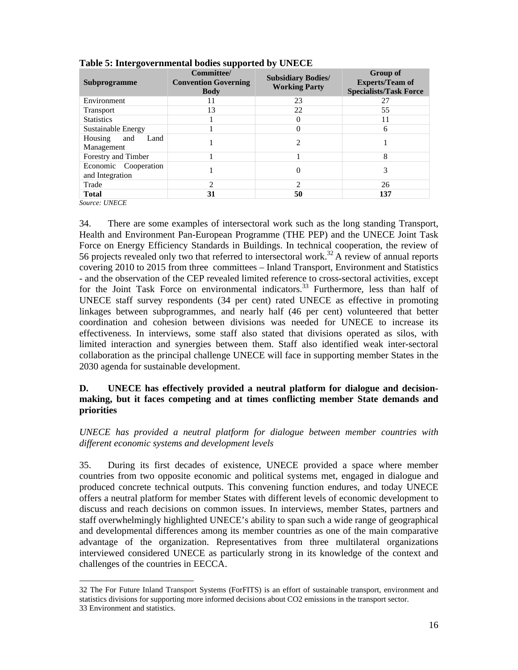| ີ<br>Subprogramme                       | Committee/<br><b>Convention Governing</b><br><b>Body</b> | <b>Subsidiary Bodies/</b><br><b>Working Party</b> | <b>Group of</b><br><b>Experts/Team of</b><br><b>Specialists/Task Force</b> |
|-----------------------------------------|----------------------------------------------------------|---------------------------------------------------|----------------------------------------------------------------------------|
| Environment                             | 11                                                       | 23                                                | 27                                                                         |
| <b>Transport</b>                        | 13                                                       | 22                                                | 55                                                                         |
| <b>Statistics</b>                       |                                                          |                                                   | 11                                                                         |
| Sustainable Energy                      |                                                          |                                                   | 6                                                                          |
| Housing<br>Land<br>and<br>Management    |                                                          |                                                   |                                                                            |
| Forestry and Timber                     |                                                          |                                                   | 8                                                                          |
| Economic Cooperation<br>and Integration |                                                          | $\theta$                                          | 3                                                                          |
| Trade                                   | $\mathfrak{D}$                                           | ∍                                                 | 26                                                                         |
| <b>Total</b>                            | 31                                                       | 50                                                | 137                                                                        |

#### **Table 5: Intergovernmental bodies supported by UNECE**

*Source: UNECE* 

-

34. There are some examples of intersectoral work such as the long standing Transport, Health and Environment Pan-European Programme (THE PEP) and the UNECE Joint Task Force on Energy Efficiency Standards in Buildings. In technical cooperation, the review of 56 projects revealed only two that referred to intersectoral work.<sup>32</sup> A review of annual reports covering 2010 to 2015 from three committees – Inland Transport, Environment and Statistics - and the observation of the CEP revealed limited reference to cross-sectoral activities, except for the Joint Task Force on environmental indicators.<sup>33</sup> Furthermore, less than half of UNECE staff survey respondents (34 per cent) rated UNECE as effective in promoting linkages between subprogrammes, and nearly half (46 per cent) volunteered that better coordination and cohesion between divisions was needed for UNECE to increase its effectiveness. In interviews, some staff also stated that divisions operated as silos, with limited interaction and synergies between them. Staff also identified weak inter-sectoral collaboration as the principal challenge UNECE will face in supporting member States in the 2030 agenda for sustainable development.

#### **D. UNECE has effectively provided a neutral platform for dialogue and decisionmaking, but it faces competing and at times conflicting member State demands and priorities**

*UNECE has provided a neutral platform for dialogue between member countries with different economic systems and development levels* 

35. During its first decades of existence, UNECE provided a space where member countries from two opposite economic and political systems met, engaged in dialogue and produced concrete technical outputs. This convening function endures, and today UNECE offers a neutral platform for member States with different levels of economic development to discuss and reach decisions on common issues. In interviews, member States, partners and staff overwhelmingly highlighted UNECE's ability to span such a wide range of geographical and developmental differences among its member countries as one of the main comparative advantage of the organization. Representatives from three multilateral organizations interviewed considered UNECE as particularly strong in its knowledge of the context and challenges of the countries in EECCA.

<sup>32</sup> The For Future Inland Transport Systems (ForFITS) is an effort of sustainable transport, environment and statistics divisions for supporting more informed decisions about CO2 emissions in the transport sector. 33 Environment and statistics.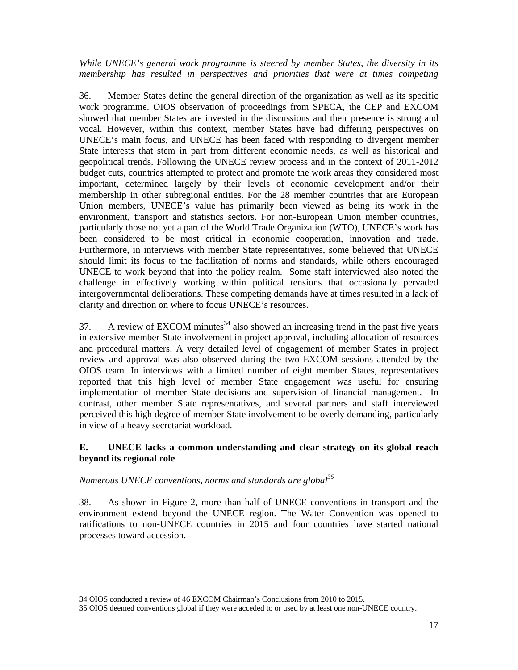*While UNECE's general work programme is steered by member States, the diversity in its membership has resulted in perspectives and priorities that were at times competing* 

36. Member States define the general direction of the organization as well as its specific work programme. OIOS observation of proceedings from SPECA, the CEP and EXCOM showed that member States are invested in the discussions and their presence is strong and vocal. However, within this context, member States have had differing perspectives on UNECE's main focus, and UNECE has been faced with responding to divergent member State interests that stem in part from different economic needs, as well as historical and geopolitical trends. Following the UNECE review process and in the context of 2011-2012 budget cuts, countries attempted to protect and promote the work areas they considered most important, determined largely by their levels of economic development and/or their membership in other subregional entities. For the 28 member countries that are European Union members, UNECE's value has primarily been viewed as being its work in the environment, transport and statistics sectors. For non-European Union member countries, particularly those not yet a part of the World Trade Organization (WTO), UNECE's work has been considered to be most critical in economic cooperation, innovation and trade. Furthermore, in interviews with member State representatives, some believed that UNECE should limit its focus to the facilitation of norms and standards, while others encouraged UNECE to work beyond that into the policy realm. Some staff interviewed also noted the challenge in effectively working within political tensions that occasionally pervaded intergovernmental deliberations. These competing demands have at times resulted in a lack of clarity and direction on where to focus UNECE's resources.

37. A review of EXCOM minutes<sup>34</sup> also showed an increasing trend in the past five years in extensive member State involvement in project approval, including allocation of resources and procedural matters. A very detailed level of engagement of member States in project review and approval was also observed during the two EXCOM sessions attended by the OIOS team. In interviews with a limited number of eight member States, representatives reported that this high level of member State engagement was useful for ensuring implementation of member State decisions and supervision of financial management. In contrast, other member State representatives, and several partners and staff interviewed perceived this high degree of member State involvement to be overly demanding, particularly in view of a heavy secretariat workload.

## **E. UNECE lacks a common understanding and clear strategy on its global reach beyond its regional role**

## *Numerous UNECE conventions, norms and standards are global35*

38. As shown in Figure 2, more than half of UNECE conventions in transport and the environment extend beyond the UNECE region. The Water Convention was opened to ratifications to non-UNECE countries in 2015 and four countries have started national processes toward accession.

<sup>34</sup> OIOS conducted a review of 46 EXCOM Chairman's Conclusions from 2010 to 2015.

<sup>35</sup> OIOS deemed conventions global if they were acceded to or used by at least one non-UNECE country.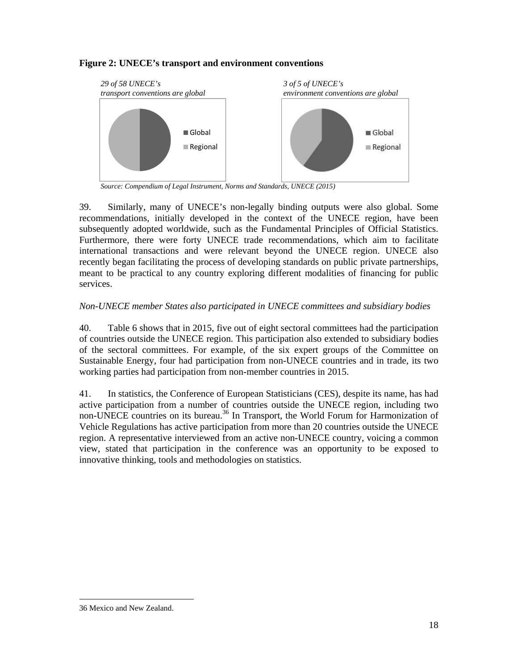## **Figure 2: UNECE's transport and environment conventions**



 *Source: Compendium of Legal Instrument, Norms and Standards, UNECE (2015)*

39. Similarly, many of UNECE's non-legally binding outputs were also global. Some recommendations, initially developed in the context of the UNECE region, have been subsequently adopted worldwide, such as the Fundamental Principles of Official Statistics. Furthermore, there were forty UNECE trade recommendations, which aim to facilitate international transactions and were relevant beyond the UNECE region. UNECE also recently began facilitating the process of developing standards on public private partnerships, meant to be practical to any country exploring different modalities of financing for public services.

## *Non-UNECE member States also participated in UNECE committees and subsidiary bodies*

40. Table 6 shows that in 2015, five out of eight sectoral committees had the participation of countries outside the UNECE region. This participation also extended to subsidiary bodies of the sectoral committees. For example, of the six expert groups of the Committee on Sustainable Energy, four had participation from non-UNECE countries and in trade, its two working parties had participation from non-member countries in 2015.

41. In statistics, the Conference of European Statisticians (CES), despite its name, has had active participation from a number of countries outside the UNECE region, including two non-UNECE countries on its bureau.<sup>36</sup> In Transport, the World Forum for Harmonization of Vehicle Regulations has active participation from more than 20 countries outside the UNECE region. A representative interviewed from an active non-UNECE country, voicing a common view, stated that participation in the conference was an opportunity to be exposed to innovative thinking, tools and methodologies on statistics.

<sup>36</sup> Mexico and New Zealand.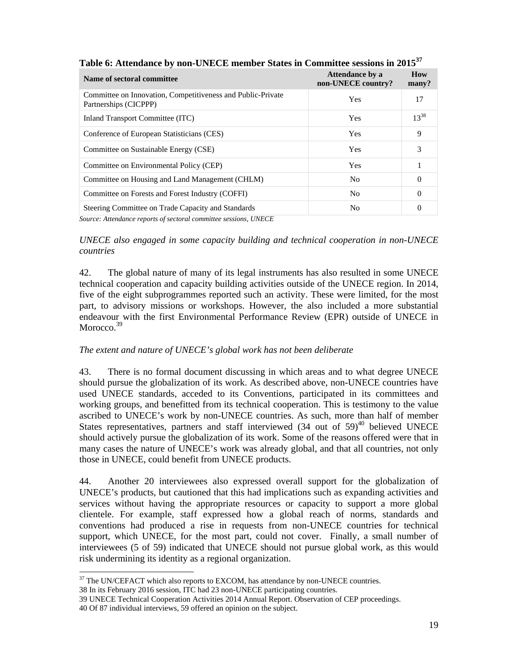| Name of sectoral committee                                                                                             | Attendance by a<br>non-UNECE country? | <b>How</b><br>many? |
|------------------------------------------------------------------------------------------------------------------------|---------------------------------------|---------------------|
| Committee on Innovation, Competitiveness and Public-Private<br>Partnerships (CICPPP)                                   | <b>Yes</b>                            | 17                  |
| Inland Transport Committee (ITC)                                                                                       | Yes                                   | $13^{38}$           |
| Conference of European Statisticians (CES)                                                                             | Yes                                   | 9                   |
| Committee on Sustainable Energy (CSE)                                                                                  | Yes                                   | 3                   |
| Committee on Environmental Policy (CEP)                                                                                | Yes                                   |                     |
| Committee on Housing and Land Management (CHLM)                                                                        | N <sub>0</sub>                        | $\Omega$            |
| Committee on Forests and Forest Industry (COFFI)                                                                       | N <sub>0</sub>                        | 0                   |
| Steering Committee on Trade Capacity and Standards<br>Source: Attendance reports of sectoral committee sessions IINECE | N <sub>0</sub>                        | $\theta$            |

**Table 6: Attendance by non-UNECE member States in Committee sessions in 2015<sup>37</sup>**

*Source: Attendance reports of sectoral committee sessions, UNECE* 

*UNECE also engaged in some capacity building and technical cooperation in non-UNECE countries* 

42. The global nature of many of its legal instruments has also resulted in some UNECE technical cooperation and capacity building activities outside of the UNECE region. In 2014, five of the eight subprogrammes reported such an activity. These were limited, for the most part, to advisory missions or workshops. However, the also included a more substantial endeavour with the first Environmental Performance Review (EPR) outside of UNECE in Morocco<sup>39</sup>

# *The extent and nature of UNECE's global work has not been deliberate*

43. There is no formal document discussing in which areas and to what degree UNECE should pursue the globalization of its work. As described above, non-UNECE countries have used UNECE standards, acceded to its Conventions, participated in its committees and working groups, and benefitted from its technical cooperation. This is testimony to the value ascribed to UNECE's work by non-UNECE countries. As such, more than half of member States representatives, partners and staff interviewed  $(34 \text{ out of } 59)^{40}$  believed UNECE should actively pursue the globalization of its work. Some of the reasons offered were that in many cases the nature of UNECE's work was already global, and that all countries, not only those in UNECE, could benefit from UNECE products.

44. Another 20 interviewees also expressed overall support for the globalization of UNECE's products, but cautioned that this had implications such as expanding activities and services without having the appropriate resources or capacity to support a more global clientele. For example, staff expressed how a global reach of norms, standards and conventions had produced a rise in requests from non-UNECE countries for technical support, which UNECE, for the most part, could not cover. Finally, a small number of interviewees (5 of 59) indicated that UNECE should not pursue global work, as this would risk undermining its identity as a regional organization.

<sup>-</sup> $37$  The UN/CEFACT which also reports to EXCOM, has attendance by non-UNECE countries.

<sup>38</sup> In its February 2016 session, ITC had 23 non-UNECE participating countries.

<sup>39</sup> UNECE Technical Cooperation Activities 2014 Annual Report. Observation of CEP proceedings.

<sup>40</sup> Of 87 individual interviews, 59 offered an opinion on the subject.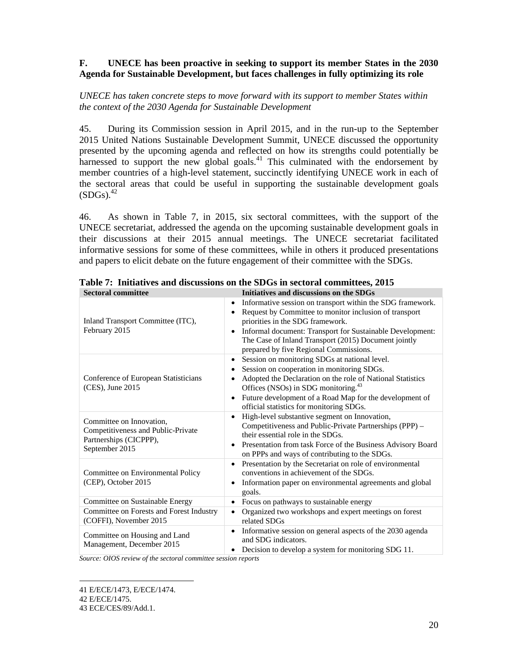## **F. UNECE has been proactive in seeking to support its member States in the 2030 Agenda for Sustainable Development, but faces challenges in fully optimizing its role**

## *UNECE has taken concrete steps to move forward with its support to member States within the context of the 2030 Agenda for Sustainable Development*

45. During its Commission session in April 2015, and in the run-up to the September 2015 United Nations Sustainable Development Summit, UNECE discussed the opportunity presented by the upcoming agenda and reflected on how its strengths could potentially be harnessed to support the new global goals.<sup>41</sup> This culminated with the endorsement by member countries of a high-level statement, succinctly identifying UNECE work in each of the sectoral areas that could be useful in supporting the sustainable development goals  $(SDGs).<sup>42</sup>$ 

46. As shown in Table 7, in 2015, six sectoral committees, with the support of the UNECE secretariat, addressed the agenda on the upcoming sustainable development goals in their discussions at their 2015 annual meetings. The UNECE secretariat facilitated informative sessions for some of these committees, while in others it produced presentations and papers to elicit debate on the future engagement of their committee with the SDGs.

| <b>Sectoral committee</b>                                                                                  | Initiatives and discussions on the SDGs                                                                                                                                                                                                                                                                                                                        |
|------------------------------------------------------------------------------------------------------------|----------------------------------------------------------------------------------------------------------------------------------------------------------------------------------------------------------------------------------------------------------------------------------------------------------------------------------------------------------------|
| Inland Transport Committee (ITC),<br>February 2015                                                         | Informative session on transport within the SDG framework.<br>$\bullet$<br>Request by Committee to monitor inclusion of transport<br>$\bullet$<br>priorities in the SDG framework.<br>Informal document: Transport for Sustainable Development:<br>$\bullet$<br>The Case of Inland Transport (2015) Document jointly<br>prepared by five Regional Commissions. |
| Conference of European Statisticians<br>(CES), June 2015                                                   | Session on monitoring SDGs at national level.<br>٠<br>Session on cooperation in monitoring SDGs.<br>٠<br>Adopted the Declaration on the role of National Statistics<br>٠<br>Offices (NSOs) in SDG monitoring. <sup>43</sup><br>Future development of a Road Map for the development of<br>$\bullet$<br>official statistics for monitoring SDGs.                |
| Committee on Innovation,<br>Competitiveness and Public-Private<br>Partnerships (CICPPP),<br>September 2015 | High-level substantive segment on Innovation,<br>$\bullet$<br>Competitiveness and Public-Private Partnerships (PPP) –<br>their essential role in the SDGs.<br>Presentation from task Force of the Business Advisory Board<br>$\bullet$<br>on PPPs and ways of contributing to the SDGs.                                                                        |
| Committee on Environmental Policy<br>(CEP), October 2015                                                   | Presentation by the Secretariat on role of environmental<br>$\bullet$<br>conventions in achievement of the SDGs.<br>Information paper on environmental agreements and global<br>$\bullet$<br>goals.                                                                                                                                                            |
| Committee on Sustainable Energy                                                                            | Focus on pathways to sustainable energy<br>٠                                                                                                                                                                                                                                                                                                                   |
| Committee on Forests and Forest Industry<br>(COFFI), November 2015                                         | Organized two workshops and expert meetings on forest<br>$\bullet$<br>related SDGs                                                                                                                                                                                                                                                                             |
| Committee on Housing and Land<br>Management, December 2015                                                 | Informative session on general aspects of the 2030 agenda<br>٠<br>and SDG indicators.<br>Decision to develop a system for monitoring SDG 11.<br>٠                                                                                                                                                                                                              |

**Table 7: Initiatives and discussions on the SDGs in sectoral committees, 2015** 

*Source: OIOS review of the sectoral committee session reports* 

<sup>-</sup>41 E/ECE/1473, E/ECE/1474.

<sup>42</sup> E/ECE/1475.

<sup>43</sup> ECE/CES/89/Add.1.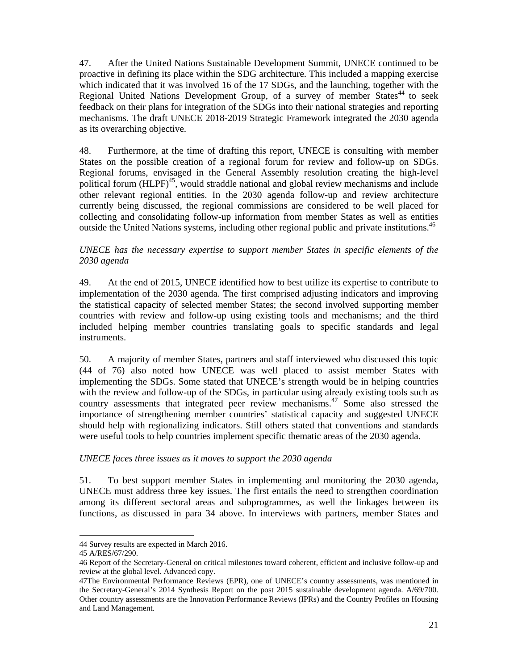47. After the United Nations Sustainable Development Summit, UNECE continued to be proactive in defining its place within the SDG architecture. This included a mapping exercise which indicated that it was involved 16 of the 17 SDGs, and the launching, together with the Regional United Nations Development Group, of a survey of member States<sup>44</sup> to seek feedback on their plans for integration of the SDGs into their national strategies and reporting mechanisms. The draft UNECE 2018-2019 Strategic Framework integrated the 2030 agenda as its overarching objective.

48. Furthermore, at the time of drafting this report, UNECE is consulting with member States on the possible creation of a regional forum for review and follow-up on SDGs. Regional forums, envisaged in the General Assembly resolution creating the high-level political forum (HLPF)<sup>45</sup>, would straddle national and global review mechanisms and include other relevant regional entities. In the 2030 agenda follow-up and review architecture currently being discussed, the regional commissions are considered to be well placed for collecting and consolidating follow-up information from member States as well as entities outside the United Nations systems, including other regional public and private institutions.<sup>46</sup>

#### *UNECE has the necessary expertise to support member States in specific elements of the 2030 agenda*

49. At the end of 2015, UNECE identified how to best utilize its expertise to contribute to implementation of the 2030 agenda. The first comprised adjusting indicators and improving the statistical capacity of selected member States; the second involved supporting member countries with review and follow-up using existing tools and mechanisms; and the third included helping member countries translating goals to specific standards and legal instruments.

50. A majority of member States, partners and staff interviewed who discussed this topic (44 of 76) also noted how UNECE was well placed to assist member States with implementing the SDGs. Some stated that UNECE's strength would be in helping countries with the review and follow-up of the SDGs, in particular using already existing tools such as country assessments that integrated peer review mechanisms.<sup>47</sup> Some also stressed the importance of strengthening member countries' statistical capacity and suggested UNECE should help with regionalizing indicators. Still others stated that conventions and standards were useful tools to help countries implement specific thematic areas of the 2030 agenda.

## *UNECE faces three issues as it moves to support the 2030 agenda*

51. To best support member States in implementing and monitoring the 2030 agenda, UNECE must address three key issues. The first entails the need to strengthen coordination among its different sectoral areas and subprogrammes, as well the linkages between its functions, as discussed in para 34 above. In interviews with partners, member States and

<sup>44</sup> Survey results are expected in March 2016.

<sup>45</sup> A/RES/67/290.

<sup>46</sup> Report of the Secretary-General on critical milestones toward coherent, efficient and inclusive follow-up and review at the global level. Advanced copy.

<sup>47</sup>The Environmental Performance Reviews (EPR), one of UNECE's country assessments, was mentioned in the Secretary-General's 2014 Synthesis Report on the post 2015 sustainable development agenda. A/69/700. Other country assessments are the Innovation Performance Reviews (IPRs) and the Country Profiles on Housing and Land Management.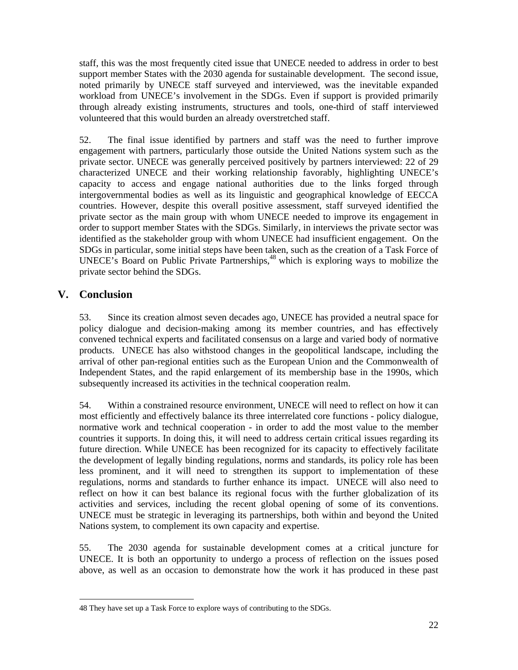staff, this was the most frequently cited issue that UNECE needed to address in order to best support member States with the 2030 agenda for sustainable development. The second issue, noted primarily by UNECE staff surveyed and interviewed, was the inevitable expanded workload from UNECE's involvement in the SDGs. Even if support is provided primarily through already existing instruments, structures and tools, one-third of staff interviewed volunteered that this would burden an already overstretched staff.

52. The final issue identified by partners and staff was the need to further improve engagement with partners, particularly those outside the United Nations system such as the private sector. UNECE was generally perceived positively by partners interviewed: 22 of 29 characterized UNECE and their working relationship favorably, highlighting UNECE's capacity to access and engage national authorities due to the links forged through intergovernmental bodies as well as its linguistic and geographical knowledge of EECCA countries. However, despite this overall positive assessment, staff surveyed identified the private sector as the main group with whom UNECE needed to improve its engagement in order to support member States with the SDGs. Similarly, in interviews the private sector was identified as the stakeholder group with whom UNECE had insufficient engagement. On the SDGs in particular, some initial steps have been taken, such as the creation of a Task Force of UNECE's Board on Public Private Partnerships,<sup>48</sup> which is exploring ways to mobilize the private sector behind the SDGs.

# **V. Conclusion**

53. Since its creation almost seven decades ago, UNECE has provided a neutral space for policy dialogue and decision-making among its member countries, and has effectively convened technical experts and facilitated consensus on a large and varied body of normative products. UNECE has also withstood changes in the geopolitical landscape, including the arrival of other pan-regional entities such as the European Union and the Commonwealth of Independent States, and the rapid enlargement of its membership base in the 1990s, which subsequently increased its activities in the technical cooperation realm.

54. Within a constrained resource environment, UNECE will need to reflect on how it can most efficiently and effectively balance its three interrelated core functions - policy dialogue, normative work and technical cooperation - in order to add the most value to the member countries it supports. In doing this, it will need to address certain critical issues regarding its future direction. While UNECE has been recognized for its capacity to effectively facilitate the development of legally binding regulations, norms and standards, its policy role has been less prominent, and it will need to strengthen its support to implementation of these regulations, norms and standards to further enhance its impact. UNECE will also need to reflect on how it can best balance its regional focus with the further globalization of its activities and services, including the recent global opening of some of its conventions. UNECE must be strategic in leveraging its partnerships, both within and beyond the United Nations system, to complement its own capacity and expertise.

55. The 2030 agenda for sustainable development comes at a critical juncture for UNECE. It is both an opportunity to undergo a process of reflection on the issues posed above, as well as an occasion to demonstrate how the work it has produced in these past

<sup>-</sup>48 They have set up a Task Force to explore ways of contributing to the SDGs.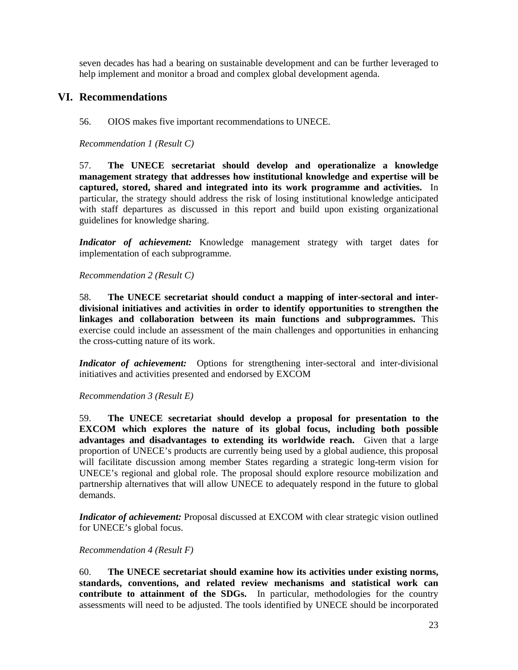seven decades has had a bearing on sustainable development and can be further leveraged to help implement and monitor a broad and complex global development agenda.

## **VI. Recommendations**

56. OIOS makes five important recommendations to UNECE.

*Recommendation 1 (Result C)* 

57. **The UNECE secretariat should develop and operationalize a knowledge management strategy that addresses how institutional knowledge and expertise will be captured, stored, shared and integrated into its work programme and activities.** In particular, the strategy should address the risk of losing institutional knowledge anticipated with staff departures as discussed in this report and build upon existing organizational guidelines for knowledge sharing.

*Indicator of achievement:* Knowledge management strategy with target dates for implementation of each subprogramme.

*Recommendation 2 (Result C)* 

58. **The UNECE secretariat should conduct a mapping of inter-sectoral and interdivisional initiatives and activities in order to identify opportunities to strengthen the linkages and collaboration between its main functions and subprogrammes.** This exercise could include an assessment of the main challenges and opportunities in enhancing the cross-cutting nature of its work.

*Indicator of achievement:* Options for strengthening inter-sectoral and inter-divisional initiatives and activities presented and endorsed by EXCOM

*Recommendation 3 (Result E)* 

59. **The UNECE secretariat should develop a proposal for presentation to the EXCOM which explores the nature of its global focus, including both possible advantages and disadvantages to extending its worldwide reach.** Given that a large proportion of UNECE's products are currently being used by a global audience, this proposal will facilitate discussion among member States regarding a strategic long-term vision for UNECE's regional and global role. The proposal should explore resource mobilization and partnership alternatives that will allow UNECE to adequately respond in the future to global demands.

*Indicator of achievement:* Proposal discussed at EXCOM with clear strategic vision outlined for UNECE's global focus.

#### *Recommendation 4 (Result F)*

60. **The UNECE secretariat should examine how its activities under existing norms, standards, conventions, and related review mechanisms and statistical work can contribute to attainment of the SDGs.** In particular, methodologies for the country assessments will need to be adjusted. The tools identified by UNECE should be incorporated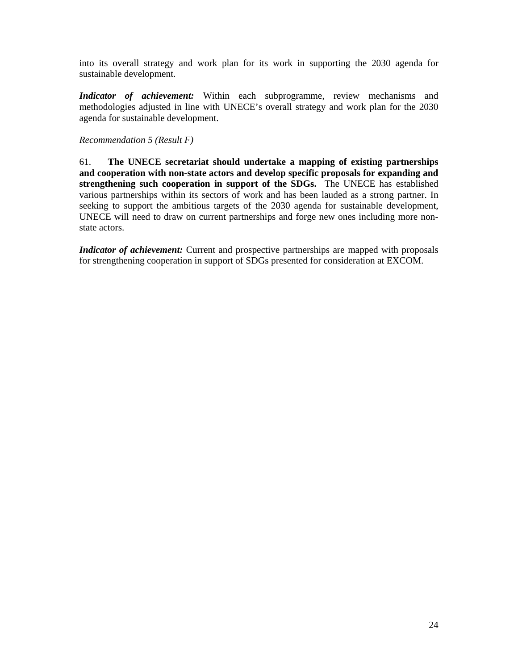into its overall strategy and work plan for its work in supporting the 2030 agenda for sustainable development.

*Indicator of achievement:* Within each subprogramme, review mechanisms and methodologies adjusted in line with UNECE's overall strategy and work plan for the 2030 agenda for sustainable development.

#### *Recommendation 5 (Result F)*

61. **The UNECE secretariat should undertake a mapping of existing partnerships and cooperation with non-state actors and develop specific proposals for expanding and strengthening such cooperation in support of the SDGs.** The UNECE has established various partnerships within its sectors of work and has been lauded as a strong partner. In seeking to support the ambitious targets of the 2030 agenda for sustainable development, UNECE will need to draw on current partnerships and forge new ones including more nonstate actors.

*Indicator of achievement:* Current and prospective partnerships are mapped with proposals for strengthening cooperation in support of SDGs presented for consideration at EXCOM.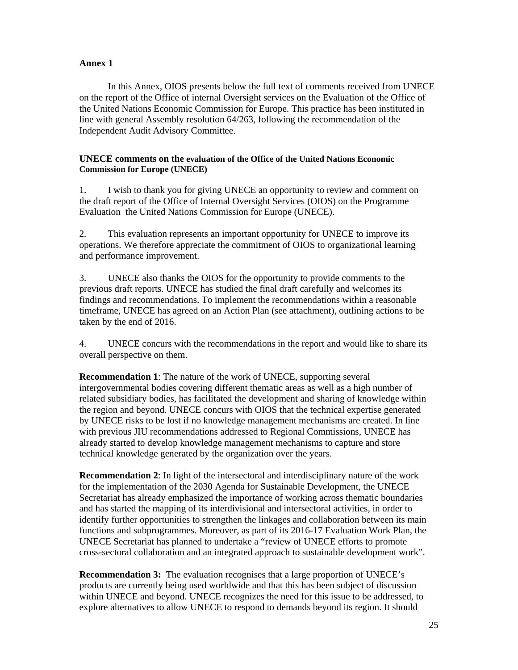## **Annex 1**

 In this Annex, OIOS presents below the full text of comments received from UNECE on the report of the Office of internal Oversight services on the Evaluation of the Office of the United Nations Economic Commission for Europe. This practice has been instituted in line with general Assembly resolution 64/263, following the recommendation of the Independent Audit Advisory Committee.

#### **UNECE comments on the evaluation of the Office of the United Nations Economic Commission for Europe (UNECE)**

1. I wish to thank you for giving UNECE an opportunity to review and comment on the draft report of the Office of Internal Oversight Services (OIOS) on the Programme Evaluation the United Nations Commission for Europe (UNECE).

2. This evaluation represents an important opportunity for UNECE to improve its operations. We therefore appreciate the commitment of OIOS to organizational learning and performance improvement.

3. UNECE also thanks the OIOS for the opportunity to provide comments to the previous draft reports. UNECE has studied the final draft carefully and welcomes its findings and recommendations. To implement the recommendations within a reasonable timeframe, UNECE has agreed on an Action Plan (see attachment), outlining actions to be taken by the end of 2016.

4. UNECE concurs with the recommendations in the report and would like to share its overall perspective on them.

**Recommendation 1**: The nature of the work of UNECE, supporting several intergovernmental bodies covering different thematic areas as well as a high number of related subsidiary bodies, has facilitated the development and sharing of knowledge within the region and beyond. UNECE concurs with OIOS that the technical expertise generated by UNECE risks to be lost if no knowledge management mechanisms are created. In line with previous JIU recommendations addressed to Regional Commissions, UNECE has already started to develop knowledge management mechanisms to capture and store technical knowledge generated by the organization over the years.

**Recommendation 2**: In light of the intersectoral and interdisciplinary nature of the work for the implementation of the 2030 Agenda for Sustainable Development, the UNECE Secretariat has already emphasized the importance of working across thematic boundaries and has started the mapping of its interdivisional and intersectoral activities, in order to identify further opportunities to strengthen the linkages and collaboration between its main functions and subprogrammes. Moreover, as part of its 2016-17 Evaluation Work Plan, the UNECE Secretariat has planned to undertake a "review of UNECE efforts to promote cross-sectoral collaboration and an integrated approach to sustainable development work".

**Recommendation 3:** The evaluation recognises that a large proportion of UNECE's products are currently being used worldwide and that this has been subject of discussion within UNECE and beyond. UNECE recognizes the need for this issue to be addressed, to explore alternatives to allow UNECE to respond to demands beyond its region. It should